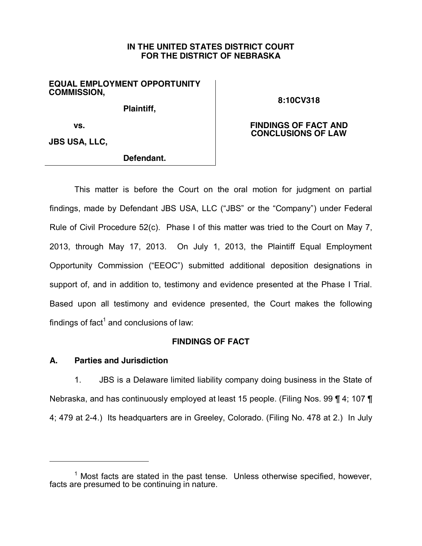# **IN THE UNITED STATES DISTRICT COURT FOR THE DISTRICT OF NEBRASKA**

# **EQUAL EMPLOYMENT OPPORTUNITY COMMISSION,**

**Plaintiff,** 

**8:10CV318**

**FINDINGS OF FACT AND CONCLUSIONS OF LAW**

**vs.** 

**JBS USA, LLC,**

**Defendant.**

This matter is before the Court on the oral motion for judgment on partial findings, made by Defendant JBS USA, LLC ("JBS" or the "Company") under Federal Rule of Civil Procedure 52(c). Phase I of this matter was tried to the Court on May 7, 2013, through May 17, 2013. On July 1, 2013, the Plaintiff Equal Employment Opportunity Commission ("EEOC") submitted additional deposition designations in support of, and in addition to, testimony and evidence presented at the Phase I Trial. Based upon all testimony and evidence presented, the Court makes the following findings of fact<sup>1</sup> and conclusions of law:

# **FINDINGS OF FACT**

# **A. Parties and Jurisdiction**

 $\overline{a}$ 

1. JBS is a Delaware limited liability company doing business in the State of Nebraska, and has continuously employed at least 15 people. (Filing Nos. 99 ¶ 4; 107 ¶ 4; 479 at 2-4.) Its headquarters are in Greeley, Colorado. (Filing No. 478 at 2.) In July

 $1$  Most facts are stated in the past tense. Unless otherwise specified, however, facts are presumed to be continuing in nature.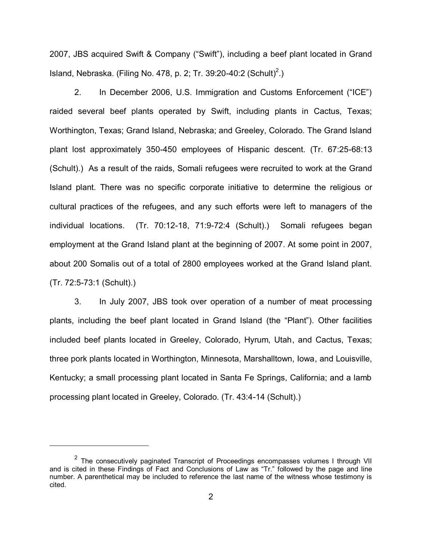2007, JBS acquired Swift & Company ("Swift"), including a beef plant located in Grand Island, Nebraska. (Filing No. 478, p. 2; Tr. 39:20-40:2 (Schult)<sup>2</sup>.)

2. In December 2006, U.S. Immigration and Customs Enforcement ("ICE") raided several beef plants operated by Swift, including plants in Cactus, Texas; Worthington, Texas; Grand Island, Nebraska; and Greeley, Colorado. The Grand Island plant lost approximately 350-450 employees of Hispanic descent. (Tr. 67:25-68:13 (Schult).) As a result of the raids, Somali refugees were recruited to work at the Grand Island plant. There was no specific corporate initiative to determine the religious or cultural practices of the refugees, and any such efforts were left to managers of the individual locations. (Tr. 70:12-18, 71:9-72:4 (Schult).) Somali refugees began employment at the Grand Island plant at the beginning of 2007. At some point in 2007, about 200 Somalis out of a total of 2800 employees worked at the Grand Island plant. (Tr. 72:5-73:1 (Schult).)

3. In July 2007, JBS took over operation of a number of meat processing plants, including the beef plant located in Grand Island (the "Plant"). Other facilities included beef plants located in Greeley, Colorado, Hyrum, Utah, and Cactus, Texas; three pork plants located in Worthington, Minnesota, Marshalltown, Iowa, and Louisville, Kentucky; a small processing plant located in Santa Fe Springs, California; and a lamb processing plant located in Greeley, Colorado. (Tr. 43:4-14 (Schult).)

 $\overline{a}$ 

 $2$  The consecutively paginated Transcript of Proceedings encompasses volumes I through VII and is cited in these Findings of Fact and Conclusions of Law as "Tr." followed by the page and line number. A parenthetical may be included to reference the last name of the witness whose testimony is cited.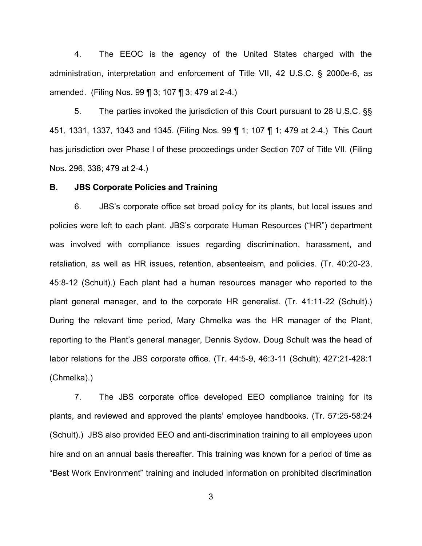4. The EEOC is the agency of the United States charged with the administration, interpretation and enforcement of Title VII, 42 U.S.C. § 2000e-6, as amended. (Filing Nos. 99 ¶ 3; 107 ¶ 3; 479 at 2-4.)

5. The parties invoked the jurisdiction of this Court pursuant to 28 U.S.C. §§ 451, 1331, 1337, 1343 and 1345. (Filing Nos. 99 ¶ 1; 107 ¶ 1; 479 at 2-4.) This Court has jurisdiction over Phase I of these proceedings under Section 707 of Title VII. (Filing Nos. 296, 338; 479 at 2-4.)

#### **B. JBS Corporate Policies and Training**

6. JBS's corporate office set broad policy for its plants, but local issues and policies were left to each plant. JBS's corporate Human Resources ("HR") department was involved with compliance issues regarding discrimination, harassment, and retaliation, as well as HR issues, retention, absenteeism, and policies. (Tr. 40:20-23, 45:8-12 (Schult).) Each plant had a human resources manager who reported to the plant general manager, and to the corporate HR generalist. (Tr. 41:11-22 (Schult).) During the relevant time period, Mary Chmelka was the HR manager of the Plant, reporting to the Plant's general manager, Dennis Sydow. Doug Schult was the head of labor relations for the JBS corporate office. (Tr. 44:5-9, 46:3-11 (Schult); 427:21-428:1 (Chmelka).)

7. The JBS corporate office developed EEO compliance training for its plants, and reviewed and approved the plants' employee handbooks. (Tr. 57:25-58:24 (Schult).) JBS also provided EEO and anti-discrimination training to all employees upon hire and on an annual basis thereafter. This training was known for a period of time as "Best Work Environment" training and included information on prohibited discrimination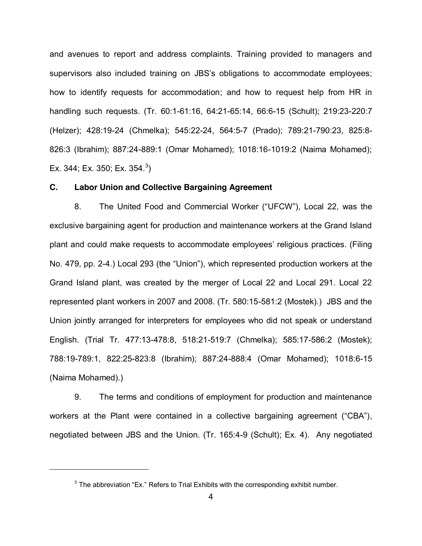and avenues to report and address complaints. Training provided to managers and supervisors also included training on JBS's obligations to accommodate employees; how to identify requests for accommodation; and how to request help from HR in handling such requests. (Tr. 60:1-61:16, 64:21-65:14, 66:6-15 (Schult); 219:23-220:7 (Helzer); 428:19-24 (Chmelka); 545:22-24, 564:5-7 (Prado); 789:21-790:23, 825:8- 826:3 (Ibrahim); 887:24-889:1 (Omar Mohamed); 1018:16-1019:2 (Naima Mohamed); Ex. 344; Ex. 350; Ex. 354.<sup>3</sup>)

### **C. Labor Union and Collective Bargaining Agreement**

8. The United Food and Commercial Worker ("UFCW"), Local 22, was the exclusive bargaining agent for production and maintenance workers at the Grand Island plant and could make requests to accommodate employees' religious practices. (Filing No. 479, pp. 2-4.) Local 293 (the "Union"), which represented production workers at the Grand Island plant, was created by the merger of Local 22 and Local 291. Local 22 represented plant workers in 2007 and 2008. (Tr. 580:15-581:2 (Mostek).) JBS and the Union jointly arranged for interpreters for employees who did not speak or understand English. (Trial Tr. 477:13-478:8, 518:21-519:7 (Chmelka); 585:17-586:2 (Mostek); 788:19-789:1, 822:25-823:8 (Ibrahim); 887:24-888:4 (Omar Mohamed); 1018:6-15 (Naima Mohamed).)

9. The terms and conditions of employment for production and maintenance workers at the Plant were contained in a collective bargaining agreement ("CBA"), negotiated between JBS and the Union. (Tr. 165:4-9 (Schult); Ex. 4). Any negotiated

 $\overline{a}$ 

 $3$  The abbreviation "Ex." Refers to Trial Exhibits with the corresponding exhibit number.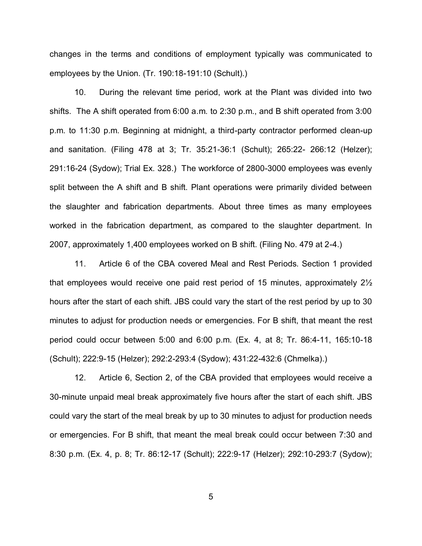changes in the terms and conditions of employment typically was communicated to employees by the Union. (Tr. 190:18-191:10 (Schult).)

10. During the relevant time period, work at the Plant was divided into two shifts. The A shift operated from 6:00 a.m. to 2:30 p.m., and B shift operated from 3:00 p.m. to 11:30 p.m. Beginning at midnight, a third-party contractor performed clean-up and sanitation. (Filing 478 at 3; Tr. 35:21-36:1 (Schult); 265:22- 266:12 (Helzer); 291:16-24 (Sydow); Trial Ex. 328.) The workforce of 2800-3000 employees was evenly split between the A shift and B shift. Plant operations were primarily divided between the slaughter and fabrication departments. About three times as many employees worked in the fabrication department, as compared to the slaughter department. In 2007, approximately 1,400 employees worked on B shift. (Filing No. 479 at 2-4.)

11. Article 6 of the CBA covered Meal and Rest Periods. Section 1 provided that employees would receive one paid rest period of 15 minutes, approximately  $2\frac{1}{2}$ hours after the start of each shift. JBS could vary the start of the rest period by up to 30 minutes to adjust for production needs or emergencies. For B shift, that meant the rest period could occur between 5:00 and 6:00 p.m. (Ex. 4, at 8; Tr. 86:4-11, 165:10-18 (Schult); 222:9-15 (Helzer); 292:2-293:4 (Sydow); 431:22-432:6 (Chmelka).)

12. Article 6, Section 2, of the CBA provided that employees would receive a 30-minute unpaid meal break approximately five hours after the start of each shift. JBS could vary the start of the meal break by up to 30 minutes to adjust for production needs or emergencies. For B shift, that meant the meal break could occur between 7:30 and 8:30 p.m. (Ex. 4, p. 8; Tr. 86:12-17 (Schult); 222:9-17 (Helzer); 292:10-293:7 (Sydow);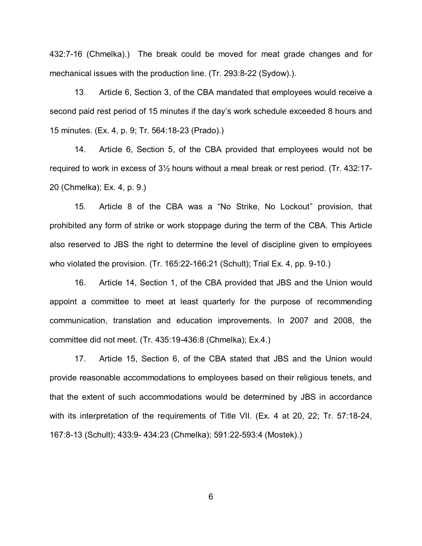432:7-16 (Chmelka).) The break could be moved for meat grade changes and for mechanical issues with the production line. (Tr. 293:8-22 (Sydow).).

13. Article 6, Section 3, of the CBA mandated that employees would receive a second paid rest period of 15 minutes if the day's work schedule exceeded 8 hours and 15 minutes. (Ex. 4, p. 9; Tr. 564:18-23 (Prado).)

14. Article 6, Section 5, of the CBA provided that employees would not be required to work in excess of  $3\frac{1}{2}$  hours without a meal break or rest period. (Tr. 432:17-20 (Chmelka); Ex. 4, p. 9.)

15. Article 8 of the CBA was a "No Strike, No Lockout" provision, that prohibited any form of strike or work stoppage during the term of the CBA. This Article also reserved to JBS the right to determine the level of discipline given to employees who violated the provision. (Tr. 165:22-166:21 (Schult); Trial Ex. 4, pp. 9-10.)

16. Article 14, Section 1, of the CBA provided that JBS and the Union would appoint a committee to meet at least quarterly for the purpose of recommending communication, translation and education improvements. In 2007 and 2008, the committee did not meet. (Tr. 435:19-436:8 (Chmelka); Ex.4.)

17. Article 15, Section 6, of the CBA stated that JBS and the Union would provide reasonable accommodations to employees based on their religious tenets, and that the extent of such accommodations would be determined by JBS in accordance with its interpretation of the requirements of Title VII. (Ex. 4 at 20, 22; Tr. 57:18-24, 167:8-13 (Schult); 433:9- 434:23 (Chmelka); 591:22-593:4 (Mostek).)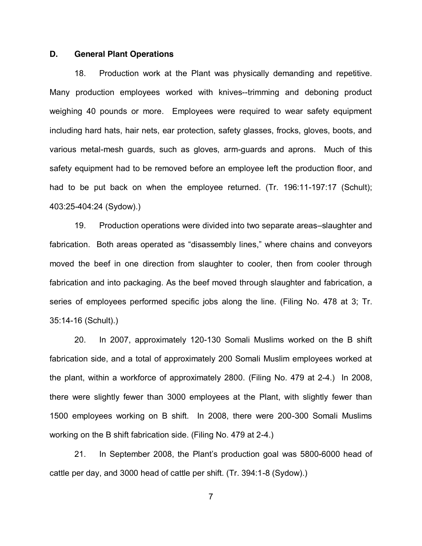## **D. General Plant Operations**

18. Production work at the Plant was physically demanding and repetitive. Many production employees worked with knives--trimming and deboning product weighing 40 pounds or more. Employees were required to wear safety equipment including hard hats, hair nets, ear protection, safety glasses, frocks, gloves, boots, and various metal-mesh guards, such as gloves, arm-guards and aprons. Much of this safety equipment had to be removed before an employee left the production floor, and had to be put back on when the employee returned. (Tr. 196:11-197:17 (Schult); 403:25-404:24 (Sydow).)

19. Production operations were divided into two separate areas-slaughter and fabrication. Both areas operated as "disassembly lines," where chains and conveyors moved the beef in one direction from slaughter to cooler, then from cooler through fabrication and into packaging. As the beef moved through slaughter and fabrication, a series of employees performed specific jobs along the line. (Filing No. 478 at 3; Tr. 35:14-16 (Schult).)

20. In 2007, approximately 120-130 Somali Muslims worked on the B shift fabrication side, and a total of approximately 200 Somali Muslim employees worked at the plant, within a workforce of approximately 2800. (Filing No. 479 at 2-4.) In 2008, there were slightly fewer than 3000 employees at the Plant, with slightly fewer than 1500 employees working on B shift. In 2008, there were 200-300 Somali Muslims working on the B shift fabrication side. (Filing No. 479 at 2-4.)

21. In September 2008, the Plant's production goal was 5800-6000 head of cattle per day, and 3000 head of cattle per shift. (Tr. 394:1-8 (Sydow).)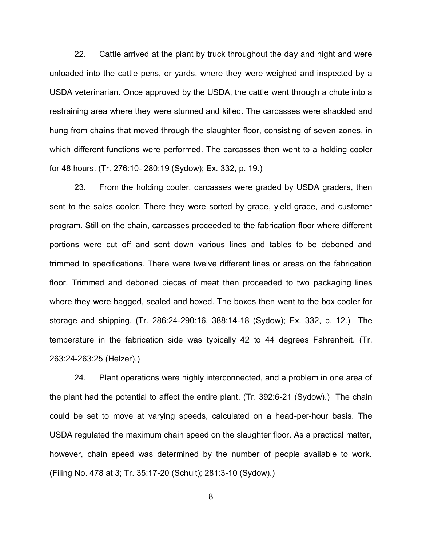22. Cattle arrived at the plant by truck throughout the day and night and were unloaded into the cattle pens, or yards, where they were weighed and inspected by a USDA veterinarian. Once approved by the USDA, the cattle went through a chute into a restraining area where they were stunned and killed. The carcasses were shackled and hung from chains that moved through the slaughter floor, consisting of seven zones, in which different functions were performed. The carcasses then went to a holding cooler for 48 hours. (Tr. 276:10- 280:19 (Sydow); Ex. 332, p. 19.)

23. From the holding cooler, carcasses were graded by USDA graders, then sent to the sales cooler. There they were sorted by grade, yield grade, and customer program. Still on the chain, carcasses proceeded to the fabrication floor where different portions were cut off and sent down various lines and tables to be deboned and trimmed to specifications. There were twelve different lines or areas on the fabrication floor. Trimmed and deboned pieces of meat then proceeded to two packaging lines where they were bagged, sealed and boxed. The boxes then went to the box cooler for storage and shipping. (Tr. 286:24-290:16, 388:14-18 (Sydow); Ex. 332, p. 12.) The temperature in the fabrication side was typically 42 to 44 degrees Fahrenheit. (Tr. 263:24-263:25 (Helzer).)

24. Plant operations were highly interconnected, and a problem in one area of the plant had the potential to affect the entire plant. (Tr. 392:6-21 (Sydow).) The chain could be set to move at varying speeds, calculated on a head-per-hour basis. The USDA regulated the maximum chain speed on the slaughter floor. As a practical matter, however, chain speed was determined by the number of people available to work. (Filing No. 478 at 3; Tr. 35:17-20 (Schult); 281:3-10 (Sydow).)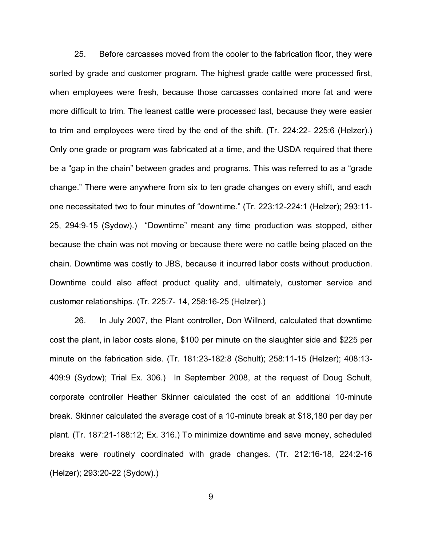25. Before carcasses moved from the cooler to the fabrication floor, they were sorted by grade and customer program. The highest grade cattle were processed first, when employees were fresh, because those carcasses contained more fat and were more difficult to trim. The leanest cattle were processed last, because they were easier to trim and employees were tired by the end of the shift. (Tr. 224:22- 225:6 (Helzer).) Only one grade or program was fabricated at a time, and the USDA required that there be a "gap in the chain" between grades and programs. This was referred to as a "grade" change." There were anywhere from six to ten grade changes on every shift, and each one necessitated two to four minutes of "downtime." (Tr. 223:12-224:1 (Helzer); 293:11-25, 294:9-15 (Sydow).) "Downtime" meant any time production was stopped, either because the chain was not moving or because there were no cattle being placed on the chain. Downtime was costly to JBS, because it incurred labor costs without production. Downtime could also affect product quality and, ultimately, customer service and customer relationships. (Tr. 225:7- 14, 258:16-25 (Helzer).)

26. In July 2007, the Plant controller, Don Willnerd, calculated that downtime cost the plant, in labor costs alone, \$100 per minute on the slaughter side and \$225 per minute on the fabrication side. (Tr. 181:23-182:8 (Schult); 258:11-15 (Helzer); 408:13- 409:9 (Sydow); Trial Ex. 306.) In September 2008, at the request of Doug Schult, corporate controller Heather Skinner calculated the cost of an additional 10-minute break. Skinner calculated the average cost of a 10-minute break at \$18,180 per day per plant. (Tr. 187:21-188:12; Ex. 316.) To minimize downtime and save money, scheduled breaks were routinely coordinated with grade changes. (Tr. 212:16-18, 224:2-16 (Helzer); 293:20-22 (Sydow).)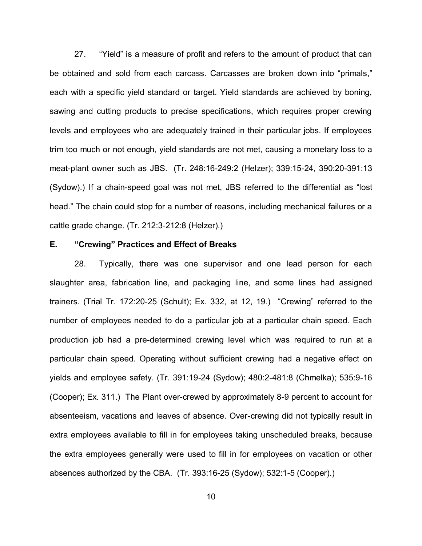27. "Yield" is a measure of profit and refers to the amount of product that can be obtained and sold from each carcass. Carcasses are broken down into "primals," each with a specific yield standard or target. Yield standards are achieved by boning, sawing and cutting products to precise specifications, which requires proper crewing levels and employees who are adequately trained in their particular jobs. If employees trim too much or not enough, yield standards are not met, causing a monetary loss to a meat-plant owner such as JBS. (Tr. 248:16-249:2 (Helzer); 339:15-24, 390:20-391:13 (Sydow).) If a chain-speed goal was not met, JBS referred to the differential as "lost head." The chain could stop for a number of reasons, including mechanical failures or a cattle grade change. (Tr. 212:3-212:8 (Helzer).)

## **E.** *"Crewing" Practices and Effect of Breaks*

28. Typically, there was one supervisor and one lead person for each slaughter area, fabrication line, and packaging line, and some lines had assigned trainers. (Trial Tr. 172:20-25 (Schult); Ex. 332, at 12, 19.) "Crewing" referred to the number of employees needed to do a particular job at a particular chain speed. Each production job had a pre-determined crewing level which was required to run at a particular chain speed. Operating without sufficient crewing had a negative effect on yields and employee safety. (Tr. 391:19-24 (Sydow); 480:2-481:8 (Chmelka); 535:9-16 (Cooper); Ex. 311.) The Plant over-crewed by approximately 8-9 percent to account for absenteeism, vacations and leaves of absence. Over-crewing did not typically result in extra employees available to fill in for employees taking unscheduled breaks, because the extra employees generally were used to fill in for employees on vacation or other absences authorized by the CBA. (Tr. 393:16-25 (Sydow); 532:1-5 (Cooper).)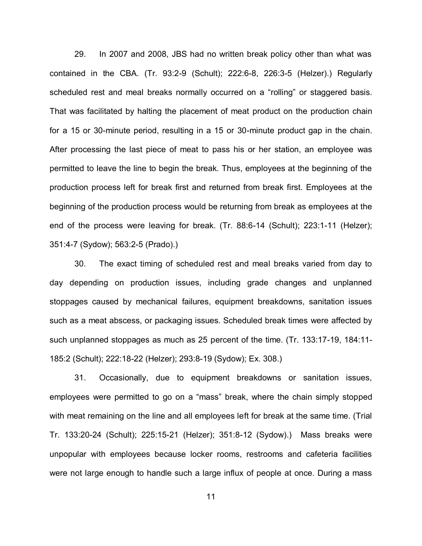29. In 2007 and 2008, JBS had no written break policy other than what was contained in the CBA. (Tr. 93:2-9 (Schult); 222:6-8, 226:3-5 (Helzer).) Regularly scheduled rest and meal breaks normally occurred on a "rolling" or staggered basis. That was facilitated by halting the placement of meat product on the production chain for a 15 or 30-minute period, resulting in a 15 or 30-minute product gap in the chain. After processing the last piece of meat to pass his or her station, an employee was permitted to leave the line to begin the break. Thus, employees at the beginning of the production process left for break first and returned from break first. Employees at the beginning of the production process would be returning from break as employees at the end of the process were leaving for break. (Tr. 88:6-14 (Schult); 223:1-11 (Helzer); 351:4-7 (Sydow); 563:2-5 (Prado).)

30. The exact timing of scheduled rest and meal breaks varied from day to day depending on production issues, including grade changes and unplanned stoppages caused by mechanical failures, equipment breakdowns, sanitation issues such as a meat abscess, or packaging issues. Scheduled break times were affected by such unplanned stoppages as much as 25 percent of the time. (Tr. 133:17-19, 184:11- 185:2 (Schult); 222:18-22 (Helzer); 293:8-19 (Sydow); Ex. 308.)

31. Occasionally, due to equipment breakdowns or sanitation issues, employees were permitted to go on a "mass" break, where the chain simply stopped with meat remaining on the line and all employees left for break at the same time. (Trial Tr. 133:20-24 (Schult); 225:15-21 (Helzer); 351:8-12 (Sydow).) Mass breaks were unpopular with employees because locker rooms, restrooms and cafeteria facilities were not large enough to handle such a large influx of people at once. During a mass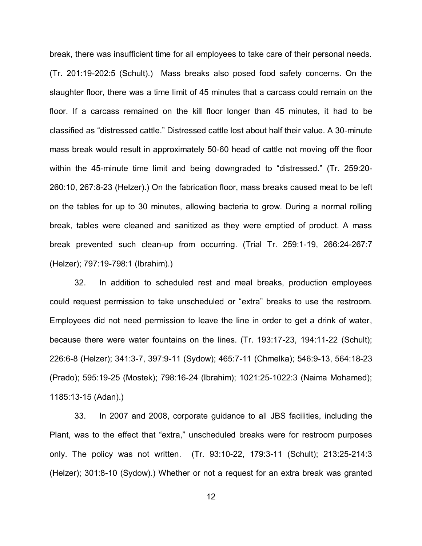break, there was insufficient time for all employees to take care of their personal needs. (Tr. 201:19-202:5 (Schult).) Mass breaks also posed food safety concerns. On the slaughter floor, there was a time limit of 45 minutes that a carcass could remain on the floor. If a carcass remained on the kill floor longer than 45 minutes, it had to be classified as "distressed cattle." Distressed cattle lost about half their value. A 30-minute mass break would result in approximately 50-60 head of cattle not moving off the floor within the 45-minute time limit and being downgraded to "distressed." (Tr. 259:20-260:10, 267:8-23 (Helzer).) On the fabrication floor, mass breaks caused meat to be left on the tables for up to 30 minutes, allowing bacteria to grow. During a normal rolling break, tables were cleaned and sanitized as they were emptied of product. A mass break prevented such clean-up from occurring. (Trial Tr. 259:1-19, 266:24-267:7 (Helzer); 797:19-798:1 (Ibrahim).)

32. In addition to scheduled rest and meal breaks, production employees could request permission to take unscheduled or "extra" breaks to use the restroom. Employees did not need permission to leave the line in order to get a drink of water, because there were water fountains on the lines. (Tr. 193:17-23, 194:11-22 (Schult); 226:6-8 (Helzer); 341:3-7, 397:9-11 (Sydow); 465:7-11 (Chmelka); 546:9-13, 564:18-23 (Prado); 595:19-25 (Mostek); 798:16-24 (Ibrahim); 1021:25-1022:3 (Naima Mohamed); 1185:13-15 (Adan).)

33. In 2007 and 2008, corporate guidance to all JBS facilities, including the Plant, was to the effect that "extra," unscheduled breaks were for restroom purposes only. The policy was not written. (Tr. 93:10-22, 179:3-11 (Schult); 213:25-214:3 (Helzer); 301:8-10 (Sydow).) Whether or not a request for an extra break was granted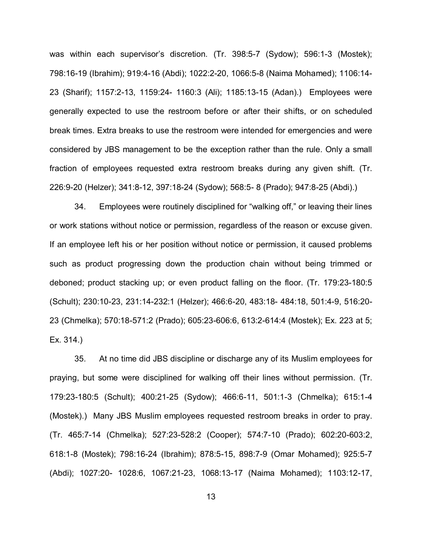was within each supervisor's discretion. (Tr. 398:5-7 (Sydow); 596:1-3 (Mostek); 798:16-19 (Ibrahim); 919:4-16 (Abdi); 1022:2-20, 1066:5-8 (Naima Mohamed); 1106:14- 23 (Sharif); 1157:2-13, 1159:24- 1160:3 (Ali); 1185:13-15 (Adan).) Employees were generally expected to use the restroom before or after their shifts, or on scheduled break times. Extra breaks to use the restroom were intended for emergencies and were considered by JBS management to be the exception rather than the rule. Only a small fraction of employees requested extra restroom breaks during any given shift. (Tr. 226:9-20 (Helzer); 341:8-12, 397:18-24 (Sydow); 568:5- 8 (Prado); 947:8-25 (Abdi).)

34. Employees were routinely disciplined for "walking off," or leaving their lines or work stations without notice or permission, regardless of the reason or excuse given. If an employee left his or her position without notice or permission, it caused problems such as product progressing down the production chain without being trimmed or deboned; product stacking up; or even product falling on the floor. (Tr. 179:23-180:5 (Schult); 230:10-23, 231:14-232:1 (Helzer); 466:6-20, 483:18- 484:18, 501:4-9, 516:20- 23 (Chmelka); 570:18-571:2 (Prado); 605:23-606:6, 613:2-614:4 (Mostek); Ex. 223 at 5; Ex. 314.)

35. At no time did JBS discipline or discharge any of its Muslim employees for praying, but some were disciplined for walking off their lines without permission. (Tr. 179:23-180:5 (Schult); 400:21-25 (Sydow); 466:6-11, 501:1-3 (Chmelka); 615:1-4 (Mostek).) Many JBS Muslim employees requested restroom breaks in order to pray. (Tr. 465:7-14 (Chmelka); 527:23-528:2 (Cooper); 574:7-10 (Prado); 602:20-603:2, 618:1-8 (Mostek); 798:16-24 (Ibrahim); 878:5-15, 898:7-9 (Omar Mohamed); 925:5-7 (Abdi); 1027:20- 1028:6, 1067:21-23, 1068:13-17 (Naima Mohamed); 1103:12-17,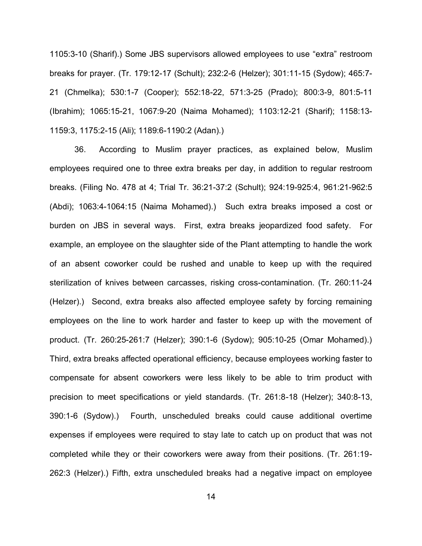1105:3-10 (Sharif).) Some JBS supervisors allowed employees to use "extra" restroom breaks for prayer. (Tr. 179:12-17 (Schult); 232:2-6 (Helzer); 301:11-15 (Sydow); 465:7- 21 (Chmelka); 530:1-7 (Cooper); 552:18-22, 571:3-25 (Prado); 800:3-9, 801:5-11 (Ibrahim); 1065:15-21, 1067:9-20 (Naima Mohamed); 1103:12-21 (Sharif); 1158:13- 1159:3, 1175:2-15 (Ali); 1189:6-1190:2 (Adan).)

36. According to Muslim prayer practices, as explained below, Muslim employees required one to three extra breaks per day, in addition to regular restroom breaks. (Filing No. 478 at 4; Trial Tr. 36:21-37:2 (Schult); 924:19-925:4, 961:21-962:5 (Abdi); 1063:4-1064:15 (Naima Mohamed).) Such extra breaks imposed a cost or burden on JBS in several ways. First, extra breaks jeopardized food safety. For example, an employee on the slaughter side of the Plant attempting to handle the work of an absent coworker could be rushed and unable to keep up with the required sterilization of knives between carcasses, risking cross-contamination. (Tr. 260:11-24 (Helzer).) Second, extra breaks also affected employee safety by forcing remaining employees on the line to work harder and faster to keep up with the movement of product. (Tr. 260:25-261:7 (Helzer); 390:1-6 (Sydow); 905:10-25 (Omar Mohamed).) Third, extra breaks affected operational efficiency, because employees working faster to compensate for absent coworkers were less likely to be able to trim product with precision to meet specifications or yield standards. (Tr. 261:8-18 (Helzer); 340:8-13, 390:1-6 (Sydow).) Fourth, unscheduled breaks could cause additional overtime expenses if employees were required to stay late to catch up on product that was not completed while they or their coworkers were away from their positions. (Tr. 261:19- 262:3 (Helzer).) Fifth, extra unscheduled breaks had a negative impact on employee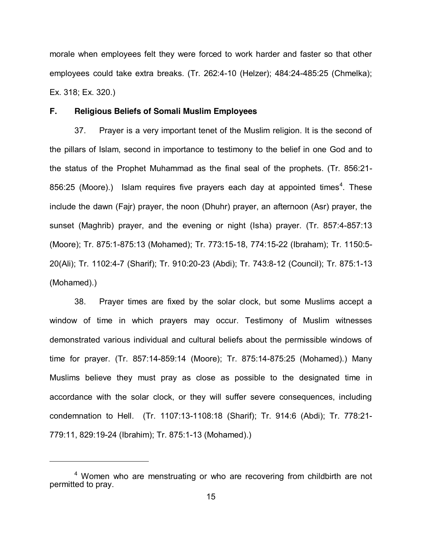morale when employees felt they were forced to work harder and faster so that other employees could take extra breaks. (Tr. 262:4-10 (Helzer); 484:24-485:25 (Chmelka); Ex. 318; Ex. 320.)

## **F. Religious Beliefs of Somali Muslim Employees**

37. Prayer is a very important tenet of the Muslim religion. It is the second of the pillars of Islam, second in importance to testimony to the belief in one God and to the status of the Prophet Muhammad as the final seal of the prophets. (Tr. 856:21- 856:25 (Moore).) Islam requires five prayers each day at appointed times<sup>4</sup>. These include the dawn (Fajr) prayer, the noon (Dhuhr) prayer, an afternoon (Asr) prayer, the sunset (Maghrib) prayer, and the evening or night (Isha) prayer. (Tr. 857:4-857:13 (Moore); Tr. 875:1-875:13 (Mohamed); Tr. 773:15-18, 774:15-22 (Ibraham); Tr. 1150:5- 20(Ali); Tr. 1102:4-7 (Sharif); Tr. 910:20-23 (Abdi); Tr. 743:8-12 (Council); Tr. 875:1-13 (Mohamed).)

38. Prayer times are fixed by the solar clock, but some Muslims accept a window of time in which prayers may occur. Testimony of Muslim witnesses demonstrated various individual and cultural beliefs about the permissible windows of time for prayer. (Tr. 857:14-859:14 (Moore); Tr. 875:14-875:25 (Mohamed).) Many Muslims believe they must pray as close as possible to the designated time in accordance with the solar clock, or they will suffer severe consequences, including condemnation to Hell. (Tr. 1107:13-1108:18 (Sharif); Tr. 914:6 (Abdi); Tr. 778:21- 779:11, 829:19-24 (Ibrahim); Tr. 875:1-13 (Mohamed).)

 $\overline{a}$ 

<sup>&</sup>lt;sup>4</sup> Women who are menstruating or who are recovering from childbirth are not permitted to pray.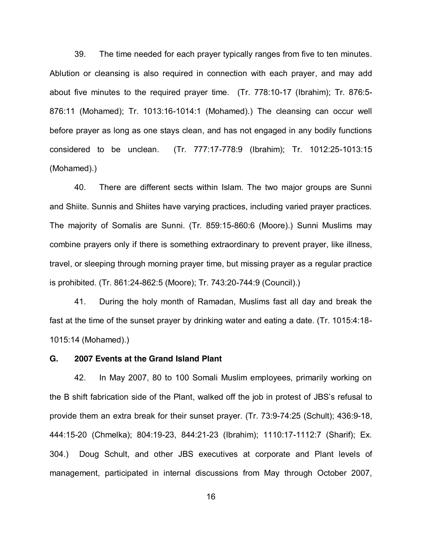39. The time needed for each prayer typically ranges from five to ten minutes. Ablution or cleansing is also required in connection with each prayer, and may add about five minutes to the required prayer time. (Tr. 778:10-17 (Ibrahim); Tr. 876:5- 876:11 (Mohamed); Tr. 1013:16-1014:1 (Mohamed).) The cleansing can occur well before prayer as long as one stays clean, and has not engaged in any bodily functions considered to be unclean. (Tr. 777:17-778:9 (Ibrahim); Tr. 1012:25-1013:15 (Mohamed).)

40. There are different sects within Islam. The two major groups are Sunni and Shiite. Sunnis and Shiites have varying practices, including varied prayer practices. The majority of Somalis are Sunni. (Tr. 859:15-860:6 (Moore).) Sunni Muslims may combine prayers only if there is something extraordinary to prevent prayer, like illness, travel, or sleeping through morning prayer time, but missing prayer as a regular practice is prohibited. (Tr. 861:24-862:5 (Moore); Tr. 743:20-744:9 (Council).)

41. During the holy month of Ramadan, Muslims fast all day and break the fast at the time of the sunset prayer by drinking water and eating a date. (Tr. 1015:4:18- 1015:14 (Mohamed).)

### **G. 2007 Events at the Grand Island Plant**

42. In May 2007, 80 to 100 Somali Muslim employees, primarily working on the B shift fabrication side of the Plant, walked off the job in protest of JBS's refusal to provide them an extra break for their sunset prayer. (Tr. 73:9-74:25 (Schult); 436:9-18, 444:15-20 (Chmelka); 804:19-23, 844:21-23 (Ibrahim); 1110:17-1112:7 (Sharif); Ex. 304.) Doug Schult, and other JBS executives at corporate and Plant levels of management, participated in internal discussions from May through October 2007,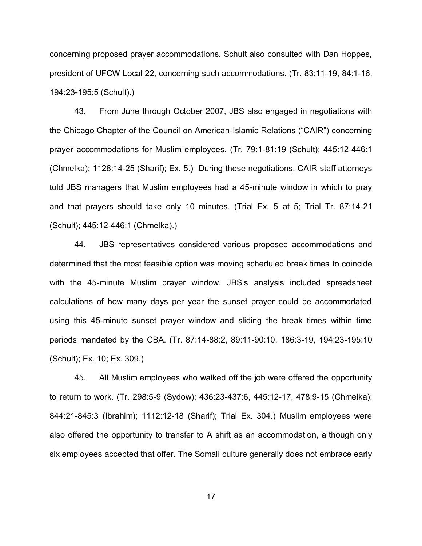concerning proposed prayer accommodations. Schult also consulted with Dan Hoppes, president of UFCW Local 22, concerning such accommodations. (Tr. 83:11-19, 84:1-16, 194:23-195:5 (Schult).)

43. From June through October 2007, JBS also engaged in negotiations with the Chicago Chapter of the Council on American-Islamic Relations ("CAIR") concerning prayer accommodations for Muslim employees. (Tr. 79:1-81:19 (Schult); 445:12-446:1 (Chmelka); 1128:14-25 (Sharif); Ex. 5.) During these negotiations, CAIR staff attorneys told JBS managers that Muslim employees had a 45-minute window in which to pray and that prayers should take only 10 minutes. (Trial Ex. 5 at 5; Trial Tr. 87:14-21 (Schult); 445:12-446:1 (Chmelka).)

44. JBS representatives considered various proposed accommodations and determined that the most feasible option was moving scheduled break times to coincide with the 45-minute Muslim prayer window. JBS's analysis included spreadsheet calculations of how many days per year the sunset prayer could be accommodated using this 45-minute sunset prayer window and sliding the break times within time periods mandated by the CBA. (Tr. 87:14-88:2, 89:11-90:10, 186:3-19, 194:23-195:10 (Schult); Ex. 10; Ex. 309.)

45. All Muslim employees who walked off the job were offered the opportunity to return to work. (Tr. 298:5-9 (Sydow); 436:23-437:6, 445:12-17, 478:9-15 (Chmelka); 844:21-845:3 (Ibrahim); 1112:12-18 (Sharif); Trial Ex. 304.) Muslim employees were also offered the opportunity to transfer to A shift as an accommodation, although only six employees accepted that offer. The Somali culture generally does not embrace early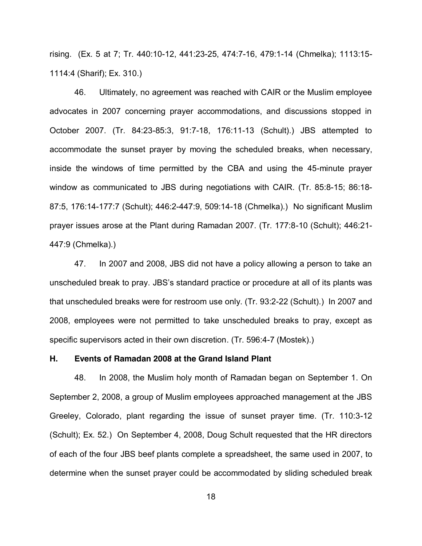rising. (Ex. 5 at 7; Tr. 440:10-12, 441:23-25, 474:7-16, 479:1-14 (Chmelka); 1113:15- 1114:4 (Sharif); Ex. 310.)

46. Ultimately, no agreement was reached with CAIR or the Muslim employee advocates in 2007 concerning prayer accommodations, and discussions stopped in October 2007. (Tr. 84:23-85:3, 91:7-18, 176:11-13 (Schult).) JBS attempted to accommodate the sunset prayer by moving the scheduled breaks, when necessary, inside the windows of time permitted by the CBA and using the 45-minute prayer window as communicated to JBS during negotiations with CAIR. (Tr. 85:8-15; 86:18- 87:5, 176:14-177:7 (Schult); 446:2-447:9, 509:14-18 (Chmelka).) No significant Muslim prayer issues arose at the Plant during Ramadan 2007. (Tr. 177:8-10 (Schult); 446:21- 447:9 (Chmelka).)

47. In 2007 and 2008, JBS did not have a policy allowing a person to take an unscheduled break to pray. JBS's standard practice or procedure at all of its plants was that unscheduled breaks were for restroom use only. (Tr. 93:2-22 (Schult).) In 2007 and 2008, employees were not permitted to take unscheduled breaks to pray, except as specific supervisors acted in their own discretion. (Tr. 596:4-7 (Mostek).)

### **H. Events of Ramadan 2008 at the Grand Island Plant**

48. In 2008, the Muslim holy month of Ramadan began on September 1. On September 2, 2008, a group of Muslim employees approached management at the JBS Greeley, Colorado, plant regarding the issue of sunset prayer time. (Tr. 110:3-12 (Schult); Ex. 52.) On September 4, 2008, Doug Schult requested that the HR directors of each of the four JBS beef plants complete a spreadsheet, the same used in 2007, to determine when the sunset prayer could be accommodated by sliding scheduled break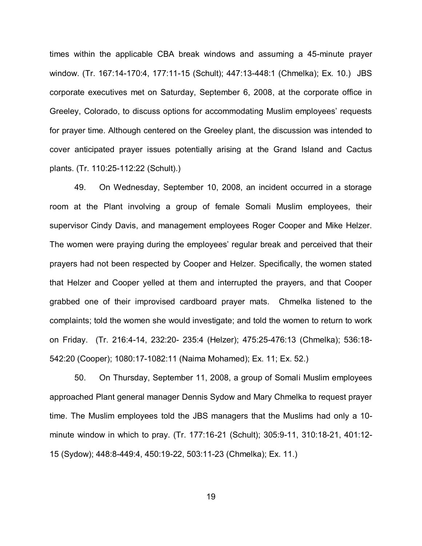times within the applicable CBA break windows and assuming a 45-minute prayer window. (Tr. 167:14-170:4, 177:11-15 (Schult); 447:13-448:1 (Chmelka); Ex. 10.) JBS corporate executives met on Saturday, September 6, 2008, at the corporate office in Greeley, Colorado, to discuss options for accommodating Muslim employees' requests for prayer time. Although centered on the Greeley plant, the discussion was intended to cover anticipated prayer issues potentially arising at the Grand Island and Cactus plants. (Tr. 110:25-112:22 (Schult).)

49. On Wednesday, September 10, 2008, an incident occurred in a storage room at the Plant involving a group of female Somali Muslim employees, their supervisor Cindy Davis, and management employees Roger Cooper and Mike Helzer. The women were praying during the employees' regular break and perceived that their prayers had not been respected by Cooper and Helzer. Specifically, the women stated that Helzer and Cooper yelled at them and interrupted the prayers, and that Cooper grabbed one of their improvised cardboard prayer mats. Chmelka listened to the complaints; told the women she would investigate; and told the women to return to work on Friday. (Tr. 216:4-14, 232:20- 235:4 (Helzer); 475:25-476:13 (Chmelka); 536:18- 542:20 (Cooper); 1080:17-1082:11 (Naima Mohamed); Ex. 11; Ex. 52.)

50. On Thursday, September 11, 2008, a group of Somali Muslim employees approached Plant general manager Dennis Sydow and Mary Chmelka to request prayer time. The Muslim employees told the JBS managers that the Muslims had only a 10 minute window in which to pray. (Tr. 177:16-21 (Schult); 305:9-11, 310:18-21, 401:12- 15 (Sydow); 448:8-449:4, 450:19-22, 503:11-23 (Chmelka); Ex. 11.)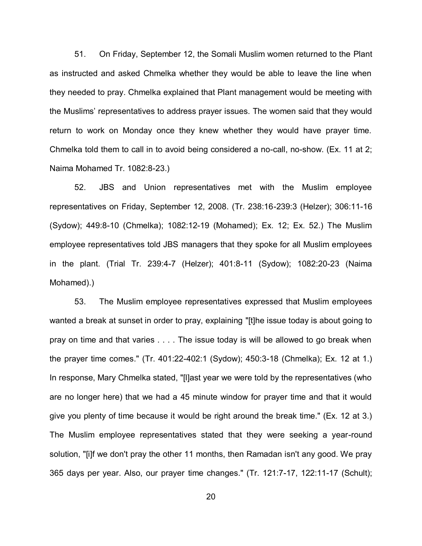51. On Friday, September 12, the Somali Muslim women returned to the Plant as instructed and asked Chmelka whether they would be able to leave the line when they needed to pray. Chmelka explained that Plant management would be meeting with the Muslims' representatives to address prayer issues. The women said that they would return to work on Monday once they knew whether they would have prayer time. Chmelka told them to call in to avoid being considered a no-call, no-show. (Ex. 11 at 2; Naima Mohamed Tr. 1082:8-23.)

52. JBS and Union representatives met with the Muslim employee representatives on Friday, September 12, 2008. (Tr. 238:16-239:3 (Helzer); 306:11-16 (Sydow); 449:8-10 (Chmelka); 1082:12-19 (Mohamed); Ex. 12; Ex. 52.) The Muslim employee representatives told JBS managers that they spoke for all Muslim employees in the plant. (Trial Tr. 239:4-7 (Helzer); 401:8-11 (Sydow); 1082:20-23 (Naima Mohamed).)

53. The Muslim employee representatives expressed that Muslim employees wanted a break at sunset in order to pray, explaining "[t]he issue today is about going to pray on time and that varies . . . . The issue today is will be allowed to go break when the prayer time comes." (Tr. 401:22-402:1 (Sydow); 450:3-18 (Chmelka); Ex. 12 at 1.) In response, Mary Chmelka stated, "[l]ast year we were told by the representatives (who are no longer here) that we had a 45 minute window for prayer time and that it would give you plenty of time because it would be right around the break time." (Ex. 12 at 3.) The Muslim employee representatives stated that they were seeking a year-round solution, "[i]f we don't pray the other 11 months, then Ramadan isn't any good. We pray 365 days per year. Also, our prayer time changes." (Tr. 121:7-17, 122:11-17 (Schult);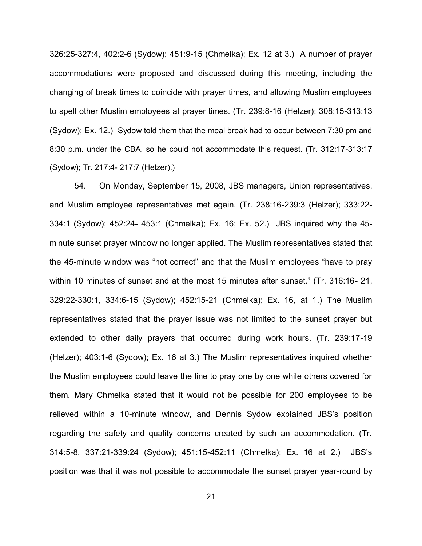326:25-327:4, 402:2-6 (Sydow); 451:9-15 (Chmelka); Ex. 12 at 3.) A number of prayer accommodations were proposed and discussed during this meeting, including the changing of break times to coincide with prayer times, and allowing Muslim employees to spell other Muslim employees at prayer times. (Tr. 239:8-16 (Helzer); 308:15-313:13 (Sydow); Ex. 12.) Sydow told them that the meal break had to occur between 7:30 pm and 8:30 p.m. under the CBA, so he could not accommodate this request. (Tr. 312:17-313:17 (Sydow); Tr. 217:4- 217:7 (Helzer).)

54. On Monday, September 15, 2008, JBS managers, Union representatives, and Muslim employee representatives met again. (Tr. 238:16-239:3 (Helzer); 333:22- 334:1 (Sydow); 452:24- 453:1 (Chmelka); Ex. 16; Ex. 52.) JBS inquired why the 45 minute sunset prayer window no longer applied. The Muslim representatives stated that the 45-minute window was "not correct" and that the Muslim employees "have to pray within 10 minutes of sunset and at the most 15 minutes after sunset." (Tr. 316:16-21, 329:22-330:1, 334:6-15 (Sydow); 452:15-21 (Chmelka); Ex. 16, at 1.) The Muslim representatives stated that the prayer issue was not limited to the sunset prayer but extended to other daily prayers that occurred during work hours. (Tr. 239:17-19 (Helzer); 403:1-6 (Sydow); Ex. 16 at 3.) The Muslim representatives inquired whether the Muslim employees could leave the line to pray one by one while others covered for them. Mary Chmelka stated that it would not be possible for 200 employees to be relieved within a 10-minute window, and Dennis Sydow explained JBS's position regarding the safety and quality concerns created by such an accommodation. (Tr. 314:5-8, 337:21-339:24 (Sydow); 451:15-452:11 (Chmelka); Ex. 16 at 2.) JBS's position was that it was not possible to accommodate the sunset prayer year-round by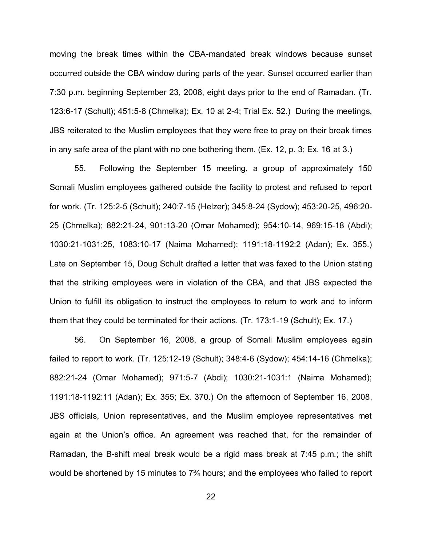moving the break times within the CBA-mandated break windows because sunset occurred outside the CBA window during parts of the year. Sunset occurred earlier than 7:30 p.m. beginning September 23, 2008, eight days prior to the end of Ramadan. (Tr. 123:6-17 (Schult); 451:5-8 (Chmelka); Ex. 10 at 2-4; Trial Ex. 52.) During the meetings, JBS reiterated to the Muslim employees that they were free to pray on their break times in any safe area of the plant with no one bothering them. (Ex. 12, p. 3; Ex. 16 at 3.)

55. Following the September 15 meeting, a group of approximately 150 Somali Muslim employees gathered outside the facility to protest and refused to report for work. (Tr. 125:2-5 (Schult); 240:7-15 (Helzer); 345:8-24 (Sydow); 453:20-25, 496:20- 25 (Chmelka); 882:21-24, 901:13-20 (Omar Mohamed); 954:10-14, 969:15-18 (Abdi); 1030:21-1031:25, 1083:10-17 (Naima Mohamed); 1191:18-1192:2 (Adan); Ex. 355.) Late on September 15, Doug Schult drafted a letter that was faxed to the Union stating that the striking employees were in violation of the CBA, and that JBS expected the Union to fulfill its obligation to instruct the employees to return to work and to inform them that they could be terminated for their actions. (Tr. 173:1-19 (Schult); Ex. 17.)

56. On September 16, 2008, a group of Somali Muslim employees again failed to report to work. (Tr. 125:12-19 (Schult); 348:4-6 (Sydow); 454:14-16 (Chmelka); 882:21-24 (Omar Mohamed); 971:5-7 (Abdi); 1030:21-1031:1 (Naima Mohamed); 1191:18-1192:11 (Adan); Ex. 355; Ex. 370.) On the afternoon of September 16, 2008, JBS officials, Union representatives, and the Muslim employee representatives met again at the Union's office. An agreement was reached that, for the remainder of Ramadan, the B-shift meal break would be a rigid mass break at 7:45 p.m.; the shift would be shortened by 15 minutes to  $7\frac{3}{4}$  hours; and the employees who failed to report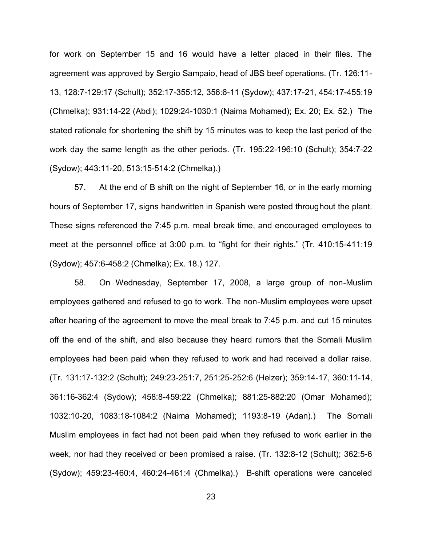for work on September 15 and 16 would have a letter placed in their files. The agreement was approved by Sergio Sampaio, head of JBS beef operations. (Tr. 126:11- 13, 128:7-129:17 (Schult); 352:17-355:12, 356:6-11 (Sydow); 437:17-21, 454:17-455:19 (Chmelka); 931:14-22 (Abdi); 1029:24-1030:1 (Naima Mohamed); Ex. 20; Ex. 52.) The stated rationale for shortening the shift by 15 minutes was to keep the last period of the work day the same length as the other periods. (Tr. 195:22-196:10 (Schult); 354:7-22 (Sydow); 443:11-20, 513:15-514:2 (Chmelka).)

57. At the end of B shift on the night of September 16, or in the early morning hours of September 17, signs handwritten in Spanish were posted throughout the plant. These signs referenced the 7:45 p.m. meal break time, and encouraged employees to meet at the personnel office at  $3.00$  p.m. to "fight for their rights." (Tr. 410:15-411:19 (Sydow); 457:6-458:2 (Chmelka); Ex. 18.) 127.

58. On Wednesday, September 17, 2008, a large group of non-Muslim employees gathered and refused to go to work. The non-Muslim employees were upset after hearing of the agreement to move the meal break to 7:45 p.m. and cut 15 minutes off the end of the shift, and also because they heard rumors that the Somali Muslim employees had been paid when they refused to work and had received a dollar raise. (Tr. 131:17-132:2 (Schult); 249:23-251:7, 251:25-252:6 (Helzer); 359:14-17, 360:11-14, 361:16-362:4 (Sydow); 458:8-459:22 (Chmelka); 881:25-882:20 (Omar Mohamed); 1032:10-20, 1083:18-1084:2 (Naima Mohamed); 1193:8-19 (Adan).) The Somali Muslim employees in fact had not been paid when they refused to work earlier in the week, nor had they received or been promised a raise. (Tr. 132:8-12 (Schult); 362:5-6 (Sydow); 459:23-460:4, 460:24-461:4 (Chmelka).) B-shift operations were canceled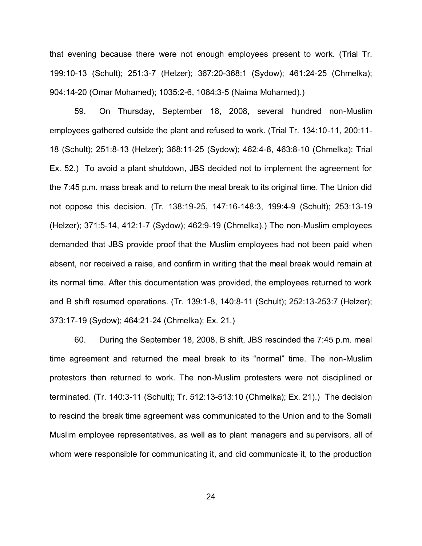that evening because there were not enough employees present to work. (Trial Tr. 199:10-13 (Schult); 251:3-7 (Helzer); 367:20-368:1 (Sydow); 461:24-25 (Chmelka); 904:14-20 (Omar Mohamed); 1035:2-6, 1084:3-5 (Naima Mohamed).)

59. On Thursday, September 18, 2008, several hundred non-Muslim employees gathered outside the plant and refused to work. (Trial Tr. 134:10-11, 200:11- 18 (Schult); 251:8-13 (Helzer); 368:11-25 (Sydow); 462:4-8, 463:8-10 (Chmelka); Trial Ex. 52.) To avoid a plant shutdown, JBS decided not to implement the agreement for the 7:45 p.m. mass break and to return the meal break to its original time. The Union did not oppose this decision. (Tr. 138:19-25, 147:16-148:3, 199:4-9 (Schult); 253:13-19 (Helzer); 371:5-14, 412:1-7 (Sydow); 462:9-19 (Chmelka).) The non-Muslim employees demanded that JBS provide proof that the Muslim employees had not been paid when absent, nor received a raise, and confirm in writing that the meal break would remain at its normal time. After this documentation was provided, the employees returned to work and B shift resumed operations. (Tr. 139:1-8, 140:8-11 (Schult); 252:13-253:7 (Helzer); 373:17-19 (Sydow); 464:21-24 (Chmelka); Ex. 21.)

60. During the September 18, 2008, B shift, JBS rescinded the 7:45 p.m. meal time agreement and returned the meal break to its "normal" time. The non-Muslim protestors then returned to work. The non-Muslim protesters were not disciplined or terminated. (Tr. 140:3-11 (Schult); Tr. 512:13-513:10 (Chmelka); Ex. 21).) The decision to rescind the break time agreement was communicated to the Union and to the Somali Muslim employee representatives, as well as to plant managers and supervisors, all of whom were responsible for communicating it, and did communicate it, to the production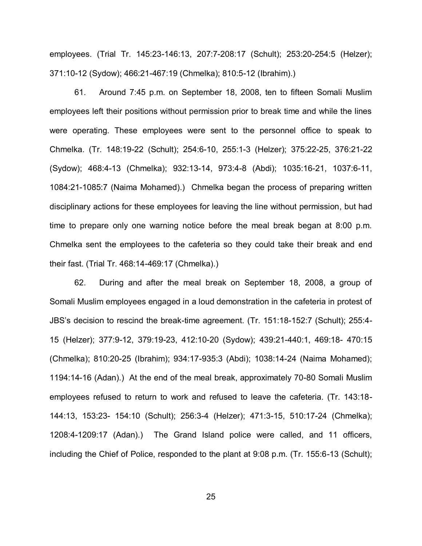employees. (Trial Tr. 145:23-146:13, 207:7-208:17 (Schult); 253:20-254:5 (Helzer); 371:10-12 (Sydow); 466:21-467:19 (Chmelka); 810:5-12 (Ibrahim).)

61. Around 7:45 p.m. on September 18, 2008, ten to fifteen Somali Muslim employees left their positions without permission prior to break time and while the lines were operating. These employees were sent to the personnel office to speak to Chmelka. (Tr. 148:19-22 (Schult); 254:6-10, 255:1-3 (Helzer); 375:22-25, 376:21-22 (Sydow); 468:4-13 (Chmelka); 932:13-14, 973:4-8 (Abdi); 1035:16-21, 1037:6-11, 1084:21-1085:7 (Naima Mohamed).) Chmelka began the process of preparing written disciplinary actions for these employees for leaving the line without permission, but had time to prepare only one warning notice before the meal break began at 8:00 p.m. Chmelka sent the employees to the cafeteria so they could take their break and end their fast. (Trial Tr. 468:14-469:17 (Chmelka).)

62. During and after the meal break on September 18, 2008, a group of Somali Muslim employees engaged in a loud demonstration in the cafeteria in protest of JBS's decision to rescind the break-time agreement. (Tr. 151:18-152:7 (Schult); 255:4-15 (Helzer); 377:9-12, 379:19-23, 412:10-20 (Sydow); 439:21-440:1, 469:18- 470:15 (Chmelka); 810:20-25 (Ibrahim); 934:17-935:3 (Abdi); 1038:14-24 (Naima Mohamed); 1194:14-16 (Adan).) At the end of the meal break, approximately 70-80 Somali Muslim employees refused to return to work and refused to leave the cafeteria. (Tr. 143:18- 144:13, 153:23- 154:10 (Schult); 256:3-4 (Helzer); 471:3-15, 510:17-24 (Chmelka); 1208:4-1209:17 (Adan).) The Grand Island police were called, and 11 officers, including the Chief of Police, responded to the plant at 9:08 p.m. (Tr. 155:6-13 (Schult);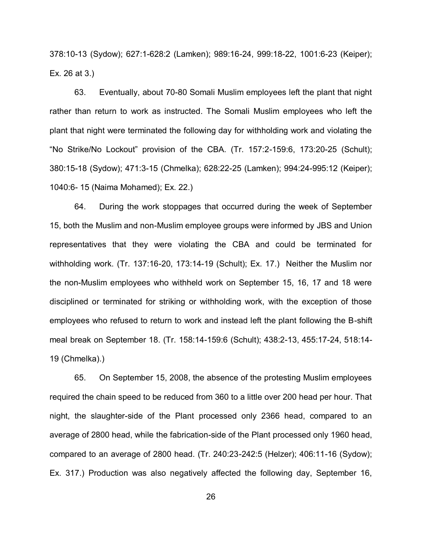378:10-13 (Sydow); 627:1-628:2 (Lamken); 989:16-24, 999:18-22, 1001:6-23 (Keiper); Ex. 26 at 3.)

63. Eventually, about 70-80 Somali Muslim employees left the plant that night rather than return to work as instructed. The Somali Muslim employees who left the plant that night were terminated the following day for withholding work and violating the "No Strike/No Lockout" provision of the CBA.  $(Tr. 157:2-159:6, 173:20-25$  (Schult); 380:15-18 (Sydow); 471:3-15 (Chmelka); 628:22-25 (Lamken); 994:24-995:12 (Keiper); 1040:6- 15 (Naima Mohamed); Ex. 22.)

64. During the work stoppages that occurred during the week of September 15, both the Muslim and non-Muslim employee groups were informed by JBS and Union representatives that they were violating the CBA and could be terminated for withholding work. (Tr. 137:16-20, 173:14-19 (Schult); Ex. 17.) Neither the Muslim nor the non-Muslim employees who withheld work on September 15, 16, 17 and 18 were disciplined or terminated for striking or withholding work, with the exception of those employees who refused to return to work and instead left the plant following the B-shift meal break on September 18. (Tr. 158:14-159:6 (Schult); 438:2-13, 455:17-24, 518:14- 19 (Chmelka).)

65. On September 15, 2008, the absence of the protesting Muslim employees required the chain speed to be reduced from 360 to a little over 200 head per hour. That night, the slaughter-side of the Plant processed only 2366 head, compared to an average of 2800 head, while the fabrication-side of the Plant processed only 1960 head, compared to an average of 2800 head. (Tr. 240:23-242:5 (Helzer); 406:11-16 (Sydow); Ex. 317.) Production was also negatively affected the following day, September 16,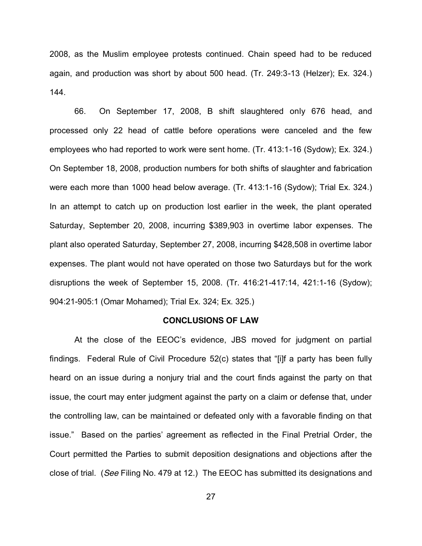2008, as the Muslim employee protests continued. Chain speed had to be reduced again, and production was short by about 500 head. (Tr. 249:3-13 (Helzer); Ex. 324.) 144.

66. On September 17, 2008, B shift slaughtered only 676 head, and processed only 22 head of cattle before operations were canceled and the few employees who had reported to work were sent home. (Tr. 413:1-16 (Sydow); Ex. 324.) On September 18, 2008, production numbers for both shifts of slaughter and fabrication were each more than 1000 head below average. (Tr. 413:1-16 (Sydow); Trial Ex. 324.) In an attempt to catch up on production lost earlier in the week, the plant operated Saturday, September 20, 2008, incurring \$389,903 in overtime labor expenses. The plant also operated Saturday, September 27, 2008, incurring \$428,508 in overtime labor expenses. The plant would not have operated on those two Saturdays but for the work disruptions the week of September 15, 2008. (Tr. 416:21-417:14, 421:1-16 (Sydow); 904:21-905:1 (Omar Mohamed); Trial Ex. 324; Ex. 325.)

#### **CONCLUSIONS OF LAW**

At the close of the EEOC's evidence, JBS moved for judgment on partial findings. Federal Rule of Civil Procedure  $52(c)$  states that "[i]f a party has been fully heard on an issue during a nonjury trial and the court finds against the party on that issue, the court may enter judgment against the party on a claim or defense that, under the controlling law, can be maintained or defeated only with a favorable finding on that issue." Based on the parties' agreement as reflected in the Final Pretrial Order, the Court permitted the Parties to submit deposition designations and objections after the close of trial. (*See* Filing No. 479 at 12.) The EEOC has submitted its designations and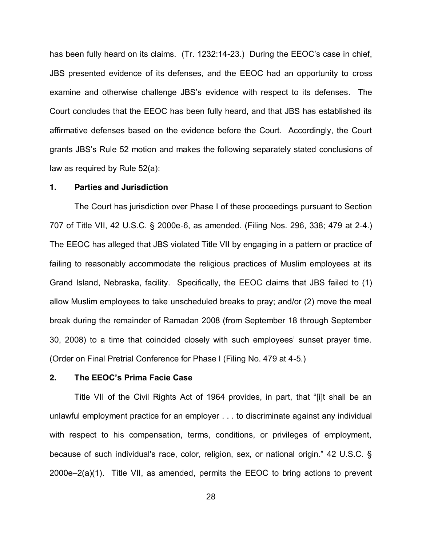has been fully heard on its claims. (Tr. 1232:14-23.) During the EEOC's case in chief, JBS presented evidence of its defenses, and the EEOC had an opportunity to cross examine and otherwise challenge JBS's evidence with respect to its defenses. The Court concludes that the EEOC has been fully heard, and that JBS has established its affirmative defenses based on the evidence before the Court. Accordingly, the Court grants JBS's Rule 52 motion and makes the following separately stated conclusions of law as required by Rule 52(a):

### **1. Parties and Jurisdiction**

The Court has jurisdiction over Phase I of these proceedings pursuant to Section 707 of Title VII, 42 U.S.C. § 2000e-6, as amended. (Filing Nos. 296, 338; 479 at 2-4.) The EEOC has alleged that JBS violated Title VII by engaging in a pattern or practice of failing to reasonably accommodate the religious practices of Muslim employees at its Grand Island, Nebraska, facility. Specifically, the EEOC claims that JBS failed to (1) allow Muslim employees to take unscheduled breaks to pray; and/or (2) move the meal break during the remainder of Ramadan 2008 (from September 18 through September 30, 2008) to a time that coincided closely with such employees' sunset prayer time. (Order on Final Pretrial Conference for Phase I (Filing No. 479 at 4-5.)

### **2.** The EEOC's Prima Facie Case

Title VII of the Civil Rights Act of 1964 provides, in part, that "[i]t shall be an unlawful employment practice for an employer . . . to discriminate against any individual with respect to his compensation, terms, conditions, or privileges of employment, because of such individual's race, color, religion, sex, or national origin." 42 U.S.C.  $\S$  $2000e-2(a)(1)$ . Title VII, as amended, permits the EEOC to bring actions to prevent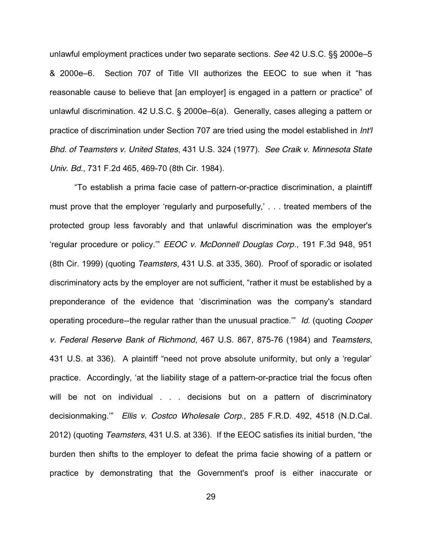unlawful employment practices under two separate sections. *See* 42 U.S.C. §§ 2000e-5 & 2000e–6. Section 707 of Title VII authorizes the EEOC to sue when it "has reasonable cause to believe that [an employer] is engaged in a pattern or practice" of unlawful discrimination. 42 U.S.C. § 2000e–6(a). Generally, cases alleging a pattern or practice of discrimination under Section 707 are tried using the model established in *Int'l Bhd. of Teamsters v. United States*, 431 U.S. 324 (1977). *See Craik v. Minnesota State Univ. Bd.*, 731 F.2d 465, 469-70 (8th Cir. 1984).

"To establish a prima facie case of pattern-or-practice discrimination, a plaintiff must prove that the employer 'regularly and purposefully,' . . . treated members of the protected group less favorably and that unlawful discrimination was the employer's fregular procedure or policy.<sup>38</sup> *EEOC v. McDonnell Douglas Corp.*, 191 F.3d 948, 951 (8th Cir. 1999) (quoting *Teamsters*, 431 U.S. at 335, 360). Proof of sporadic or isolated discriminatory acts by the employer are not sufficient, "rather it must be established by a preponderance of the evidence that 'discrimination was the company's standard operating procedure--the regular rather than the unusual practice.<sup>"</sup> Id. (quoting *Cooper v. Federal Reserve Bank of Richmond*, 467 U.S. 867, 875-76 (1984) and *Teamsters*, 431 U.S. at 336). A plaintiff "need not prove absolute uniformity, but only a 'regular' practice. Accordingly, 'at the liability stage of a pattern-or-practice trial the focus often will be not on individual . . . decisions but on a pattern of discriminatory decisionmaking." Ellis v. Costco Wholesale Corp., 285 F.R.D. 492, 4518 (N.D.Cal. 2012) (quoting *Teamsters*, 431 U.S. at 336). If the EEOC satisfies its initial burden, "the burden then shifts to the employer to defeat the prima facie showing of a pattern or practice by demonstrating that the Government's proof is either inaccurate or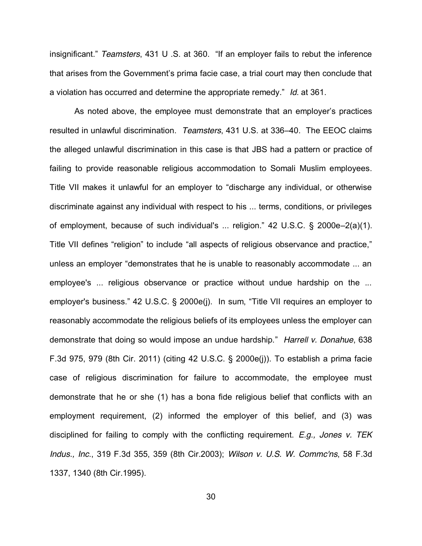insignificant." Teamsters, 431 U .S. at 360. "If an employer fails to rebut the inference that arises from the Government's prima facie case, a trial court may then conclude that a violation has occurred and determine the appropriate remedy." Id. at 361.

As noted above, the employee must demonstrate that an employer's practices resulted in unlawful discrimination. *Teamsters*, 431 U.S. at 336-40. The EEOC claims the alleged unlawful discrimination in this case is that JBS had a pattern or practice of failing to provide reasonable religious accommodation to Somali Muslim employees. Title VII makes it unlawful for an employer to "discharge any individual, or otherwise discriminate against any individual with respect to his ... terms, conditions, or privileges of employment, because of such individual's ... religion."  $42 \cup S.C.$   $\S$  2000e-2(a)(1). Title VII defines "religion" to include "all aspects of religious observance and practice," unless an employer "demonstrates that he is unable to reasonably accommodate ... an employee's ... religious observance or practice without undue hardship on the ... employer's business." 42 U.S.C. § 2000e(j). In sum, "Title VII requires an employer to reasonably accommodate the religious beliefs of its employees unless the employer can demonstrate that doing so would impose an undue hardship.´ *Harrell v. Donahue*, 638 F.3d 975, 979 (8th Cir. 2011) (citing 42 U.S.C. § 2000e(j)). To establish a prima facie case of religious discrimination for failure to accommodate, the employee must demonstrate that he or she (1) has a bona fide religious belief that conflicts with an employment requirement, (2) informed the employer of this belief, and (3) was disciplined for failing to comply with the conflicting requirement. *E.g., Jones v. TEK Indus., Inc*., 319 F.3d 355, 359 (8th Cir.2003); *Wilson v. U.S. W. Commc'ns*, 58 F.3d 1337, 1340 (8th Cir.1995).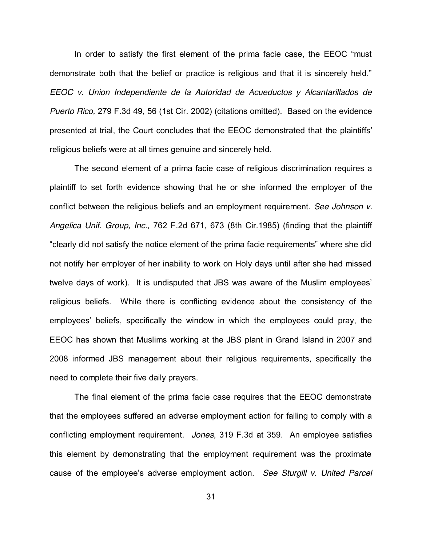In order to satisfy the first element of the prima facie case, the EEOC "must demonstrate both that the belief or practice is religious and that it is sincerely held." *EEOC v. Union Independiente de la Autoridad de Acueductos y Alcantarillados de Puerto Rico,* 279 F.3d 49, 56 (1st Cir. 2002) (citations omitted). Based on the evidence presented at trial, the Court concludes that the EEOC demonstrated that the plaintiffs' religious beliefs were at all times genuine and sincerely held.

The second element of a prima facie case of religious discrimination requires a plaintiff to set forth evidence showing that he or she informed the employer of the conflict between the religious beliefs and an employment requirement. *See Johnson v. Angelica Unif. Group, Inc.,* 762 F.2d 671, 673 (8th Cir.1985) (finding that the plaintiff "clearly did not satisfy the notice element of the prima facie requirements" where she did not notify her employer of her inability to work on Holy days until after she had missed twelve days of work). It is undisputed that JBS was aware of the Muslim employees' religious beliefs. While there is conflicting evidence about the consistency of the employees' beliefs, specifically the window in which the employees could pray, the EEOC has shown that Muslims working at the JBS plant in Grand Island in 2007 and 2008 informed JBS management about their religious requirements, specifically the need to complete their five daily prayers.

The final element of the prima facie case requires that the EEOC demonstrate that the employees suffered an adverse employment action for failing to comply with a conflicting employment requirement. *Jones*, 319 F.3d at 359. An employee satisfies this element by demonstrating that the employment requirement was the proximate cause of the employee's adverse employment action. See Sturgill v. United Parcel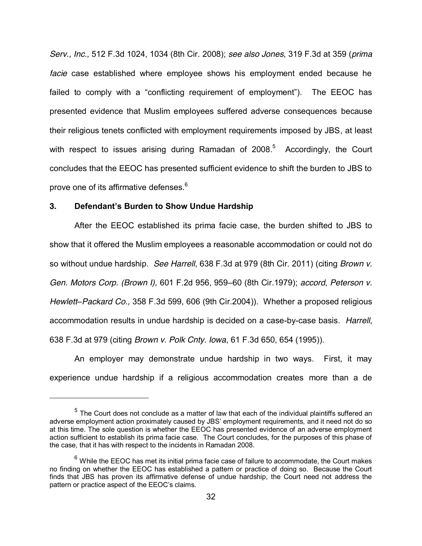*Serv., Inc.,* 512 F.3d 1024, 1034 (8th Cir. 2008); *see also Jones,* 319 F.3d at 359 (*prima facie* case established where employee shows his employment ended because he failed to comply with a "conflicting requirement of employment"). The EEOC has presented evidence that Muslim employees suffered adverse consequences because their religious tenets conflicted with employment requirements imposed by JBS, at least with respect to issues arising during Ramadan of 2008.<sup>5</sup> Accordingly, the Court concludes that the EEOC has presented sufficient evidence to shift the burden to JBS to prove one of its affirmative defenses.<sup>6</sup>

### **3. Defendant's Burden to Show Undue Hardship**

 $\overline{a}$ 

After the EEOC established its prima facie case, the burden shifted to JBS to show that it offered the Muslim employees a reasonable accommodation or could not do so without undue hardship. *See Harrell*, 638 F.3d at 979 (8th Cir. 2011) (citing *Brown v. Gen. Motors Corp. (Brown I),* 601 F.2d 956, 959–60 (8th Cir.1979); *accord, Peterson v. Hewlett±Packard Co.,* 358 F.3d 599, 606 (9th Cir.2004)). Whether a proposed religious accommodation results in undue hardship is decided on a case-by-case basis. *Harrell*, 638 F.3d at 979 (citing *Brown v. Polk Cnty. Iowa*, 61 F.3d 650, 654 (1995)).

An employer may demonstrate undue hardship in two ways. First, it may experience undue hardship if a religious accommodation creates more than a de

 $<sup>5</sup>$  The Court does not conclude as a matter of law that each of the individual plaintiffs suffered an</sup> adverse employment action proximately caused by JBS' employment requirements, and it need not do so at this time. The sole question is whether the EEOC has presented evidence of an adverse employment action sufficient to establish its prima facie case. The Court concludes, for the purposes of this phase of the case, that it has with respect to the incidents in Ramadan 2008.

 $<sup>6</sup>$  While the EEOC has met its initial prima facie case of failure to accommodate, the Court makes</sup> no finding on whether the EEOC has established a pattern or practice of doing so. Because the Court finds that JBS has proven its affirmative defense of undue hardship, the Court need not address the pattern or practice aspect of the EEOC's claims.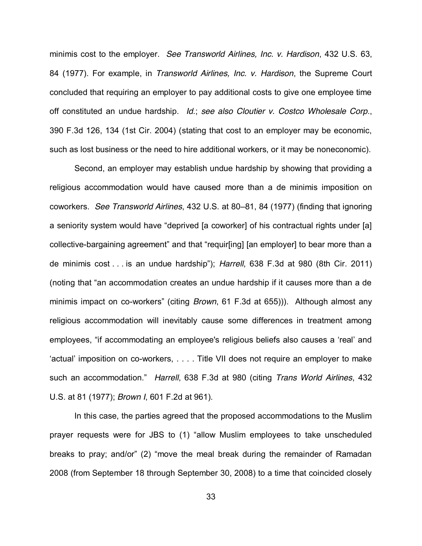minimis cost to the employer. *See Transworld Airlines, Inc. v. Hardison*, 432 U.S. 63, 84 (1977). For example, in *Transworld Airlines, Inc. v. Hardison*, the Supreme Court concluded that requiring an employer to pay additional costs to give one employee time off constituted an undue hardship. *Id*.; *see also Cloutier v. Costco Wholesale Corp*., 390 F.3d 126, 134 (1st Cir. 2004) (stating that cost to an employer may be economic, such as lost business or the need to hire additional workers, or it may be noneconomic).

Second, an employer may establish undue hardship by showing that providing a religious accommodation would have caused more than a de minimis imposition on coworkers. *See Transworld Airlines*, 432 U.S. at 80±81, 84 (1977) (finding that ignoring a seniority system would have "deprived [a coworker] of his contractual rights under [a] collective-bargaining agreement" and that "requir[ing] [an employer] to bear more than a de minimis cost . . . is an undue hardship"); *Harrell*, 638 F.3d at 980 (8th Cir. 2011) (noting that "an accommodation creates an undue hardship if it causes more than a de minimis impact on co-workers<sup>"</sup> (citing *Brown*, 61 F.3d at 655))). Although almost any religious accommodation will inevitably cause some differences in treatment among employees, "if accommodating an employee's religious beliefs also causes a 'real' and  $\alpha$  actual' imposition on co-workers,  $\ldots$ . Title VII does not require an employer to make such an accommodation." Harrell, 638 F.3d at 980 (citing *Trans World Airlines*, 432 U.S. at 81 (1977); *Brown I*, 601 F.2d at 961).

In this case, the parties agreed that the proposed accommodations to the Muslim prayer requests were for JBS to (1) "allow Muslim employees to take unscheduled breaks to pray; and/or" (2) "move the meal break during the remainder of Ramadan 2008 (from September 18 through September 30, 2008) to a time that coincided closely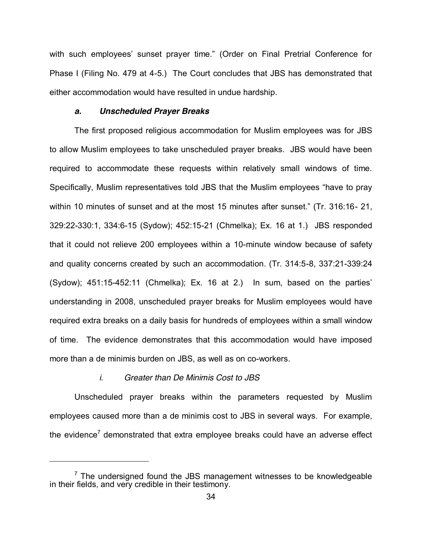with such employees' sunset prayer time." (Order on Final Pretrial Conference for Phase I (Filing No. 479 at 4-5.) The Court concludes that JBS has demonstrated that either accommodation would have resulted in undue hardship.

### *a. Unscheduled Prayer Breaks*

The first proposed religious accommodation for Muslim employees was for JBS to allow Muslim employees to take unscheduled prayer breaks. JBS would have been required to accommodate these requests within relatively small windows of time. Specifically, Muslim representatives told JBS that the Muslim employees "have to pray within 10 minutes of sunset and at the most 15 minutes after sunset." (Tr. 316:16-21, 329:22-330:1, 334:6-15 (Sydow); 452:15-21 (Chmelka); Ex. 16 at 1.) JBS responded that it could not relieve 200 employees within a 10-minute window because of safety and quality concerns created by such an accommodation. (Tr. 314:5-8, 337:21-339:24 (Sydow);  $451:15-452:11$  (Chmelka); Ex. 16 at 2.) In sum, based on the parties' understanding in 2008, unscheduled prayer breaks for Muslim employees would have required extra breaks on a daily basis for hundreds of employees within a small window of time. The evidence demonstrates that this accommodation would have imposed more than a de minimis burden on JBS, as well as on co-workers.

### *i. Greater than De Minimis Cost to JBS*

 $\overline{a}$ 

Unscheduled prayer breaks within the parameters requested by Muslim employees caused more than a de minimis cost to JBS in several ways. For example, the evidence<sup>7</sup> demonstrated that extra employee breaks could have an adverse effect

 $7$  The undersigned found the JBS management witnesses to be knowledgeable in their fields, and very credible in their testimony.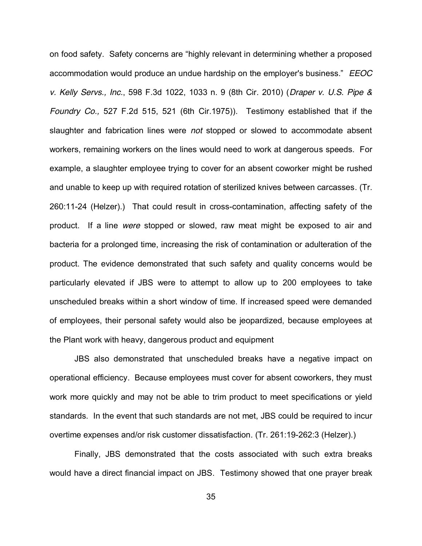on food safety. Safety concerns are "highly relevant in determining whether a proposed accommodation would produce an undue hardship on the employer's business." EEOC *v. Kelly Servs., Inc.*, 598 F.3d 1022, 1033 n. 9 (8th Cir. 2010) (*Draper v. U.S. Pipe & Foundry Co.,* 527 F.2d 515, 521 (6th Cir.1975)). Testimony established that if the slaughter and fabrication lines were *not* stopped or slowed to accommodate absent workers, remaining workers on the lines would need to work at dangerous speeds. For example, a slaughter employee trying to cover for an absent coworker might be rushed and unable to keep up with required rotation of sterilized knives between carcasses. (Tr. 260:11-24 (Helzer).) That could result in cross-contamination, affecting safety of the product. If a line *were* stopped or slowed, raw meat might be exposed to air and bacteria for a prolonged time, increasing the risk of contamination or adulteration of the product. The evidence demonstrated that such safety and quality concerns would be particularly elevated if JBS were to attempt to allow up to 200 employees to take unscheduled breaks within a short window of time. If increased speed were demanded of employees, their personal safety would also be jeopardized, because employees at the Plant work with heavy, dangerous product and equipment

JBS also demonstrated that unscheduled breaks have a negative impact on operational efficiency. Because employees must cover for absent coworkers, they must work more quickly and may not be able to trim product to meet specifications or yield standards. In the event that such standards are not met, JBS could be required to incur overtime expenses and/or risk customer dissatisfaction. (Tr. 261:19-262:3 (Helzer).)

Finally, JBS demonstrated that the costs associated with such extra breaks would have a direct financial impact on JBS. Testimony showed that one prayer break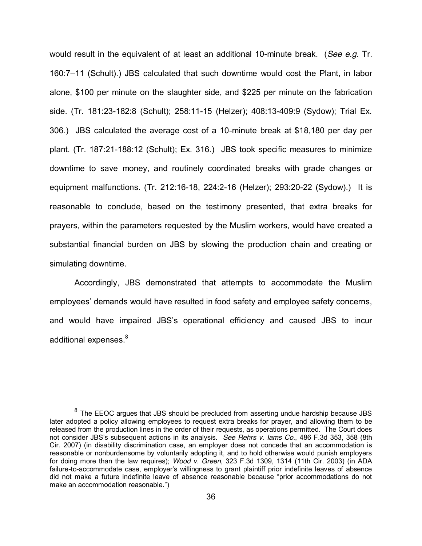would result in the equivalent of at least an additional 10-minute break. (*See e.g.* Tr. 160:7-11 (Schult).) JBS calculated that such downtime would cost the Plant, in labor alone, \$100 per minute on the slaughter side, and \$225 per minute on the fabrication side. (Tr. 181:23-182:8 (Schult); 258:11-15 (Helzer); 408:13-409:9 (Sydow); Trial Ex. 306.) JBS calculated the average cost of a 10-minute break at \$18,180 per day per plant. (Tr. 187:21-188:12 (Schult); Ex. 316.) JBS took specific measures to minimize downtime to save money, and routinely coordinated breaks with grade changes or equipment malfunctions. (Tr. 212:16-18, 224:2-16 (Helzer); 293:20-22 (Sydow).) It is reasonable to conclude, based on the testimony presented, that extra breaks for prayers, within the parameters requested by the Muslim workers, would have created a substantial financial burden on JBS by slowing the production chain and creating or simulating downtime.

Accordingly, JBS demonstrated that attempts to accommodate the Muslim employees' demands would have resulted in food safety and employee safety concerns, and would have impaired JBS's operational efficiency and caused JBS to incur additional expenses.<sup>8</sup>

 $\overline{a}$ 

 $8$  The EEOC argues that JBS should be precluded from asserting undue hardship because JBS later adopted a policy allowing employees to request extra breaks for prayer, and allowing them to be released from the production lines in the order of their requests, as operations permitted. The Court does not consider JBS's subsequent actions in its analysis. See Rehrs v. lams Co., 486 F.3d 353, 358 (8th Cir. 2007) (in disability discrimination case, an employer does not concede that an accommodation is reasonable or nonburdensome by voluntarily adopting it, and to hold otherwise would punish employers for doing more than the law requires); *Wood v. Green*, 323 F.3d 1309, 1314 (11th Cir. 2003) (in ADA failure-to-accommodate case, employer's willingness to grant plaintiff prior indefinite leaves of absence did not make a future indefinite leave of absence reasonable because "prior accommodations do not make an accommodation reasonable.")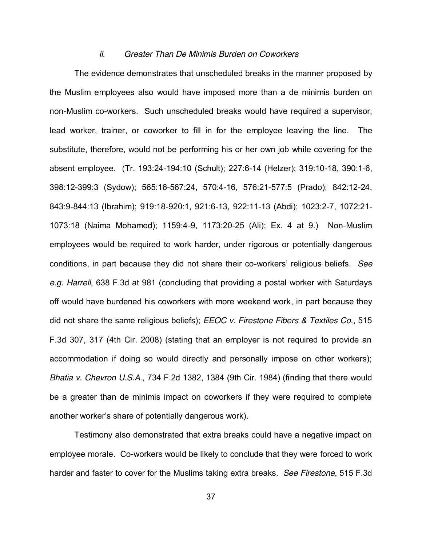#### *ii. Greater Than De Minimis Burden on Coworkers*

The evidence demonstrates that unscheduled breaks in the manner proposed by the Muslim employees also would have imposed more than a de minimis burden on non-Muslim co-workers. Such unscheduled breaks would have required a supervisor, lead worker, trainer, or coworker to fill in for the employee leaving the line. The substitute, therefore, would not be performing his or her own job while covering for the absent employee. (Tr. 193:24-194:10 (Schult); 227:6-14 (Helzer); 319:10-18, 390:1-6, 398:12-399:3 (Sydow); 565:16-567:24, 570:4-16, 576:21-577:5 (Prado); 842:12-24, 843:9-844:13 (Ibrahim); 919:18-920:1, 921:6-13, 922:11-13 (Abdi); 1023:2-7, 1072:21- 1073:18 (Naima Mohamed); 1159:4-9, 1173:20-25 (Ali); Ex. 4 at 9.) Non-Muslim employees would be required to work harder, under rigorous or potentially dangerous conditions, in part because they did not share their co-workers' religious beliefs. *See e.g. Harrell*, 638 F.3d at 981 (concluding that providing a postal worker with Saturdays off would have burdened his coworkers with more weekend work, in part because they did not share the same religious beliefs); *EEOC v. Firestone Fibers & Textiles Co*., 515 F.3d 307, 317 (4th Cir. 2008) (stating that an employer is not required to provide an accommodation if doing so would directly and personally impose on other workers); *Bhatia v. Chevron U.S.A*., 734 F.2d 1382, 1384 (9th Cir. 1984) (finding that there would be a greater than de minimis impact on coworkers if they were required to complete another worker's share of potentially dangerous work).

Testimony also demonstrated that extra breaks could have a negative impact on employee morale. Co-workers would be likely to conclude that they were forced to work harder and faster to cover for the Muslims taking extra breaks. *See Firestone*, 515 F.3d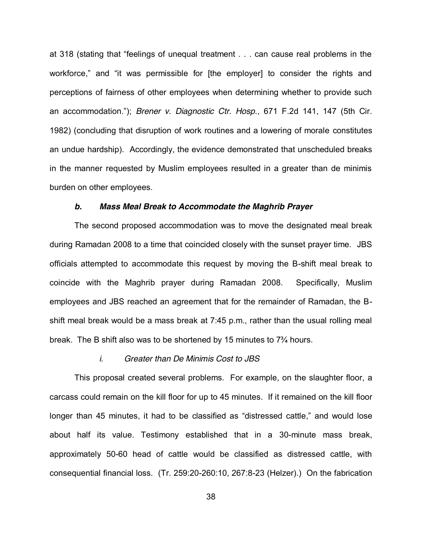at 318 (stating that "feelings of unequal treatment . . . can cause real problems in the workforce," and "it was permissible for [the employer] to consider the rights and perceptions of fairness of other employees when determining whether to provide such an accommodation."); *Brener v. Diagnostic Ctr. Hosp.*, 671 F.2d 141, 147 (5th Cir. 1982) (concluding that disruption of work routines and a lowering of morale constitutes an undue hardship). Accordingly, the evidence demonstrated that unscheduled breaks in the manner requested by Muslim employees resulted in a greater than de minimis burden on other employees.

#### *b. Mass Meal Break to Accommodate the Maghrib Prayer*

The second proposed accommodation was to move the designated meal break during Ramadan 2008 to a time that coincided closely with the sunset prayer time. JBS officials attempted to accommodate this request by moving the B-shift meal break to coincide with the Maghrib prayer during Ramadan 2008. Specifically, Muslim employees and JBS reached an agreement that for the remainder of Ramadan, the Bshift meal break would be a mass break at 7:45 p.m., rather than the usual rolling meal break. The B shift also was to be shortened by 15 minutes to  $7\frac{3}{4}$  hours.

### *i. Greater than De Minimis Cost to JBS*

This proposal created several problems. For example, on the slaughter floor, a carcass could remain on the kill floor for up to 45 minutes. If it remained on the kill floor longer than 45 minutes, it had to be classified as "distressed cattle," and would lose about half its value. Testimony established that in a 30-minute mass break, approximately 50-60 head of cattle would be classified as distressed cattle, with consequential financial loss. (Tr. 259:20-260:10, 267:8-23 (Helzer).) On the fabrication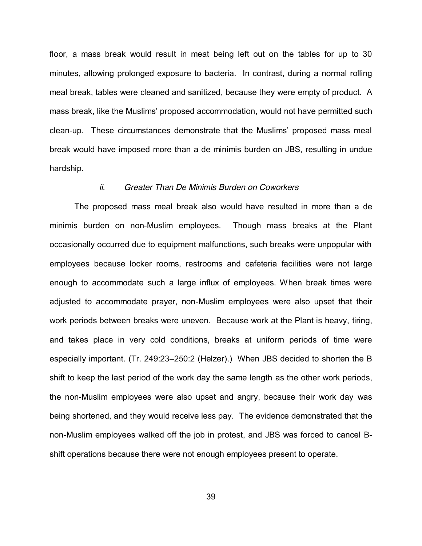floor, a mass break would result in meat being left out on the tables for up to 30 minutes, allowing prolonged exposure to bacteria. In contrast, during a normal rolling meal break, tables were cleaned and sanitized, because they were empty of product. A mass break, like the Muslims' proposed accommodation, would not have permitted such clean-up. These circumstances demonstrate that the Muslims' proposed mass meal break would have imposed more than a de minimis burden on JBS, resulting in undue hardship.

### *ii. Greater Than De Minimis Burden on Coworkers*

The proposed mass meal break also would have resulted in more than a de minimis burden on non-Muslim employees. Though mass breaks at the Plant occasionally occurred due to equipment malfunctions, such breaks were unpopular with employees because locker rooms, restrooms and cafeteria facilities were not large enough to accommodate such a large influx of employees. When break times were adjusted to accommodate prayer, non-Muslim employees were also upset that their work periods between breaks were uneven. Because work at the Plant is heavy, tiring, and takes place in very cold conditions, breaks at uniform periods of time were especially important. (Tr. 249:23-250:2 (Helzer).) When JBS decided to shorten the B shift to keep the last period of the work day the same length as the other work periods, the non-Muslim employees were also upset and angry, because their work day was being shortened, and they would receive less pay. The evidence demonstrated that the non-Muslim employees walked off the job in protest, and JBS was forced to cancel Bshift operations because there were not enough employees present to operate.